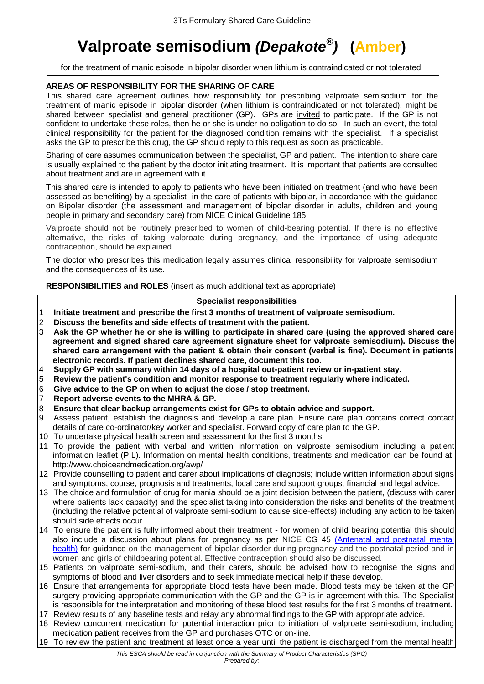# **Valproate semisodium** *(Depakote® )* **(Amber)**

for the treatment of manic episode in bipolar disorder when lithium is contraindicated or not tolerated.

# **AREAS OF RESPONSIBILITY FOR THE SHARING OF CARE**

This shared care agreement outlines how responsibility for prescribing valproate semisodium for the treatment of manic episode in bipolar disorder (when lithium is contraindicated or not tolerated), might be shared between specialist and general practitioner (GP). GPs are invited to participate. If the GP is not confident to undertake these roles, then he or she is under no obligation to do so. In such an event, the total clinical responsibility for the patient for the diagnosed condition remains with the specialist. If a specialist asks the GP to prescribe this drug, the GP should reply to this request as soon as practicable.

Sharing of care assumes communication between the specialist, GP and patient. The intention to share care is usually explained to the patient by the doctor initiating treatment. It is important that patients are consulted about treatment and are in agreement with it.

This shared care is intended to apply to patients who have been initiated on treatment (and who have been assessed as benefiting) by a specialist in the care of patients with bipolar, in accordance with the guidance on Bipolar disorder (the assessment and management of bipolar disorder in adults, children and young people in primary and secondary care) from NIC[E Clinical Guideline 185](https://www.nice.org.uk/guidance/cg185/resources/guidance-bipolar-disorder-the-assessment-and-management-of-bipolar-disorder-in-adults-children-and-young-people-in-primary-and-secondary-care-pdf)

Valproate should not be routinely prescribed to women of child-bearing potential. If there is no effective alternative, the risks of taking valproate during pregnancy, and the importance of using adequate contraception, should be explained.

The doctor who prescribes this medication legally assumes clinical responsibility for valproate semisodium and the consequences of its use.

**RESPONSIBILITIES and ROLES** (insert as much additional text as appropriate)

#### **Specialist responsibilities**

- 1 **Initiate treatment and prescribe the first 3 months of treatment of valproate semisodium.**
- 2 **Discuss the benefits and side effects of treatment with the patient.**
- 3 **Ask the GP whether he or she is willing to participate in shared care (using the approved shared care agreement and signed shared care agreement signature sheet for valproate semisodium). Discuss the shared care arrangement with the patient & obtain their consent (verbal is fine). Document in patients electronic records. If patient declines shared care, document this too.**
- 4 **Supply GP with summary within 14 days of a hospital out-patient review or in-patient stay.**
- 5 **Review the patient's condition and monitor response to treatment regularly where indicated.**
- 6 **Give advice to the GP on when to adjust the dose / stop treatment.**
- 7 **Report adverse events to the MHRA & GP.**
- 8 **Ensure that clear backup arrangements exist for GPs to obtain advice and support.**
- 9 Assess patient, establish the diagnosis and develop a care plan. Ensure care plan contains correct contact details of care co-ordinator/key worker and specialist. Forward copy of care plan to the GP.
- 10 To undertake physical health screen and assessment for the first 3 months.
- 11 To provide the patient with verbal and written information on valproate semisodium including a patient information leaflet (PIL). Information on mental health conditions, treatments and medication can be found at: http://www.choiceandmedication.org/awp/
- 12 Provide counselling to patient and carer about implications of diagnosis; include written information about signs and symptoms, course, prognosis and treatments, local care and support groups, financial and legal advice.
- 13 The choice and formulation of drug for mania should be a joint decision between the patient, (discuss with carer where patients lack capacity) and the specialist taking into consideration the risks and benefits of the treatment (including the relative potential of valproate semi-sodium to cause side-effects) including any action to be taken should side effects occur.
- 14 To ensure the patient is fully informed about their treatment for women of child bearing potential this should also include a discussion about plans for pregnancy as per NICE CG 45 [\(Antenatal and postnatal mental](http://www.nice.org.uk/guidance/cg45/resources/guidance-antenatal-and-postnatal-mental-health-pdf)  [health\)](http://www.nice.org.uk/guidance/cg45/resources/guidance-antenatal-and-postnatal-mental-health-pdf) for guidance on the management of bipolar disorder during pregnancy and the postnatal period and in women and girls of childbearing potential. Effective contraception should also be discussed.
- 15 Patients on valproate semi-sodium, and their carers, should be advised how to recognise the signs and symptoms of blood and liver disorders and to seek immediate medical help if these develop.
- 16 Ensure that arrangements for appropriate blood tests have been made. Blood tests may be taken at the GP surgery providing appropriate communication with the GP and the GP is in agreement with this. The Specialist is responsible for the interpretation and monitoring of these blood test results for the first 3 months of treatment.
- 17 Review results of any baseline tests and relay any abnormal findings to the GP with appropriate advice.
- 18 Review concurrent medication for potential interaction prior to initiation of valproate semi-sodium, including medication patient receives from the GP and purchases OTC or on-line.
- 19 To review the patient and treatment at least once a year until the patient is discharged from the mental health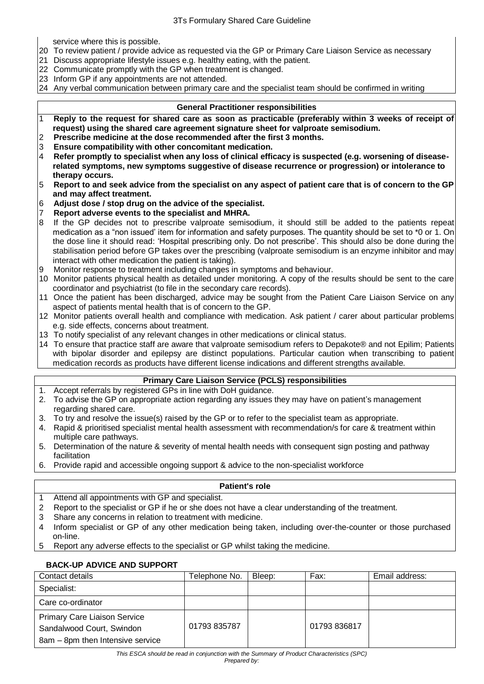service where this is possible.

- 20 To review patient / provide advice as requested via the GP or Primary Care Liaison Service as necessary
- 21 Discuss appropriate lifestyle issues e.g. healthy eating, with the patient.
- 22 Communicate promptly with the GP when treatment is changed.
- 23 Inform GP if any appointments are not attended.
- 24 Any verbal communication between primary care and the specialist team should be confirmed in writing

#### **General Practitioner responsibilities**

- 1 **Reply to the request for shared care as soon as practicable (preferably within 3 weeks of receipt of request) using the shared care agreement signature sheet for valproate semisodium.**
- 2 **Prescribe medicine at the dose recommended after the first 3 months.**
- 3 **Ensure compatibility with other concomitant medication.**
- 4 **Refer promptly to specialist when any loss of clinical efficacy is suspected (e.g. worsening of diseaserelated symptoms, new symptoms suggestive of disease recurrence or progression) or intolerance to therapy occurs.**
- 5 **Report to and seek advice from the specialist on any aspect of patient care that is of concern to the GP and may affect treatment.**
- 6 **Adjust dose / stop drug on the advice of the specialist.**
- 7 **Report adverse events to the specialist and MHRA.**
- 8 If the GP decides not to prescribe valproate semisodium, it should still be added to the patients repeat medication as a "non issued' item for information and safety purposes. The quantity should be set to \*0 or 1. On the dose line it should read: 'Hospital prescribing only. Do not prescribe'. This should also be done during the stabilisation period before GP takes over the prescribing (valproate semisodium is an enzyme inhibitor and may interact with other medication the patient is taking).
- Monitor response to treatment including changes in symptoms and behaviour.
- 10 Monitor patients physical health as detailed under monitoring. A copy of the results should be sent to the care coordinator and psychiatrist (to file in the secondary care records).
- 11 Once the patient has been discharged, advice may be sought from the Patient Care Liaison Service on any aspect of patients mental health that is of concern to the GP.
- 12 Monitor patients overall health and compliance with medication. Ask patient / carer about particular problems e.g. side effects, concerns about treatment.
- 13 To notify specialist of any relevant changes in other medications or clinical status.
- 14 To ensure that practice staff are aware that valproate semisodium refers to Depakote® and not Epilim; Patients with bipolar disorder and epilepsy are distinct populations. Particular caution when transcribing to patient medication records as products have different license indications and different strengths available.

# **Primary Care Liaison Service (PCLS) responsibilities**

- 1. Accept referrals by registered GPs in line with DoH guidance.
- 2. To advise the GP on appropriate action regarding any issues they may have on patient's management regarding shared care.
- 3. To try and resolve the issue(s) raised by the GP or to refer to the specialist team as appropriate.
- 4. Rapid & prioritised specialist mental health assessment with recommendation/s for care & treatment within multiple care pathways.
- 5. Determination of the nature & severity of mental health needs with consequent sign posting and pathway facilitation
- 6. Provide rapid and accessible ongoing support & advice to the non-specialist workforce

# **Patient's role**

- 1 Attend all appointments with GP and specialist.
- 2 Report to the specialist or GP if he or she does not have a clear understanding of the treatment.
- 3 Share any concerns in relation to treatment with medicine.
- 4 Inform specialist or GP of any other medication being taken, including over-the-counter or those purchased on-line.
- 5 Report any adverse effects to the specialist or GP whilst taking the medicine.

# **BACK-UP ADVICE AND SUPPORT**

| Contact details                     | Telephone No. | Bleep: | Fax:         | Email address: |
|-------------------------------------|---------------|--------|--------------|----------------|
| Specialist:                         |               |        |              |                |
| Care co-ordinator                   |               |        |              |                |
| <b>Primary Care Liaison Service</b> |               |        | 01793 836817 |                |
| Sandalwood Court, Swindon           | 01793 835787  |        |              |                |
| 8am - 8pm then Intensive service    |               |        |              |                |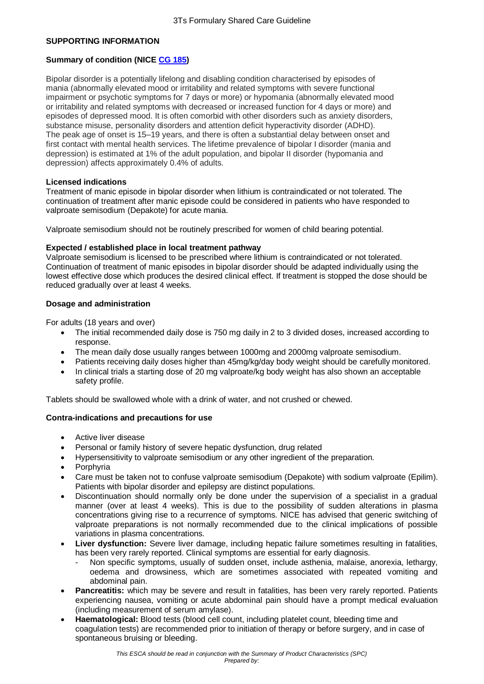#### **SUPPORTING INFORMATION**

# **Summary of condition (NICE [CG 185\)](http://www.nice.org.uk/guidance/cg185/resources/guidance-bipolar-disorder-the-assessment-and-management-of-bipolar-disorder-in-adults-children-and-young-people-in-primary-and-secondary-care-pdf)**

Bipolar disorder is a potentially lifelong and disabling condition characterised by episodes of mania (abnormally elevated mood or irritability and related symptoms with severe functional impairment or psychotic symptoms for 7 days or more) or hypomania (abnormally elevated mood or irritability and related symptoms with decreased or increased function for 4 days or more) and episodes of depressed mood. It is often comorbid with other disorders such as anxiety disorders, substance misuse, personality disorders and attention deficit hyperactivity disorder (ADHD). The peak age of onset is 15–19 years, and there is often a substantial delay between onset and first contact with mental health services. The lifetime prevalence of bipolar I disorder (mania and depression) is estimated at 1% of the adult population, and bipolar II disorder (hypomania and depression) affects approximately 0.4% of adults.

#### **Licensed indications**

Treatment of manic episode in bipolar disorder when lithium is contraindicated or not tolerated. The continuation of treatment after manic episode could be considered in patients who have responded to valproate semisodium (Depakote) for acute mania.

Valproate semisodium should not be routinely prescribed for women of child bearing potential.

#### **Expected / established place in local treatment pathway**

Valproate semisodium is licensed to be prescribed where lithium is contraindicated or not tolerated. Continuation of treatment of manic episodes in bipolar disorder should be adapted individually using the lowest effective dose which produces the desired clinical effect. If treatment is stopped the dose should be reduced gradually over at least 4 weeks.

#### **Dosage and administration**

For adults (18 years and over)

- The initial recommended daily dose is 750 mg daily in 2 to 3 divided doses, increased according to response.
- The mean daily dose usually ranges between 1000mg and 2000mg valproate semisodium.
- Patients receiving daily doses higher than 45mg/kg/day body weight should be carefully monitored.
- In clinical trials a starting dose of 20 mg valproate/kg body weight has also shown an acceptable safety profile.

Tablets should be swallowed whole with a drink of water, and not crushed or chewed.

# **Contra-indications and precautions for use**

- Active liver disease
- Personal or family history of severe hepatic dysfunction, drug related
- Hypersensitivity to valproate semisodium or any other ingredient of the preparation.
- Porphyria
- Care must be taken not to confuse valproate semisodium (Depakote) with sodium valproate (Epilim). Patients with bipolar disorder and epilepsy are distinct populations.
- Discontinuation should normally only be done under the supervision of a specialist in a gradual manner (over at least 4 weeks). This is due to the possibility of sudden alterations in plasma concentrations giving rise to a recurrence of symptoms. NICE has advised that generic switching of valproate preparations is not normally recommended due to the clinical implications of possible variations in plasma concentrations.
- **Liver dysfunction:** Severe liver damage, including hepatic failure sometimes resulting in fatalities, has been very rarely reported. Clinical symptoms are essential for early diagnosis.
	- Non specific symptoms, usually of sudden onset, include asthenia, malaise, anorexia, lethargy, oedema and drowsiness, which are sometimes associated with repeated vomiting and abdominal pain.
- **Pancreatitis:** which may be severe and result in fatalities, has been very rarely reported. Patients experiencing nausea, vomiting or acute abdominal pain should have a prompt medical evaluation (including measurement of serum amylase).
- **Haematological:** Blood tests (blood cell count, including platelet count, bleeding time and coagulation tests) are recommended prior to initiation of therapy or before surgery, and in case of spontaneous bruising or bleeding.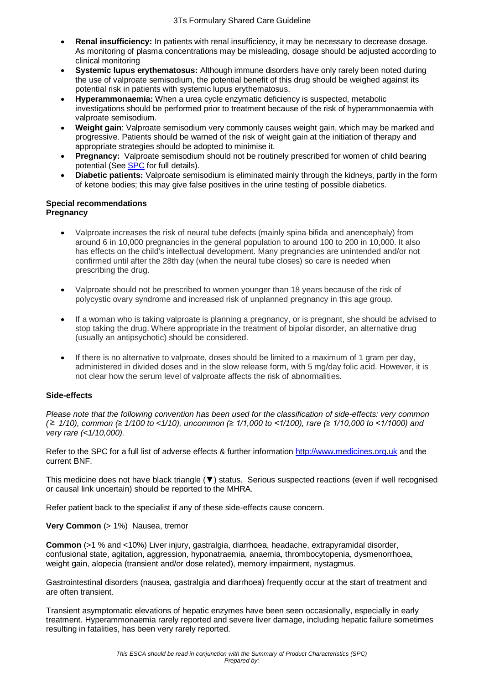- **Renal insufficiency:** In patients with renal insufficiency, it may be necessary to decrease dosage. As monitoring of plasma concentrations may be misleading, dosage should be adjusted according to clinical monitoring
- **Systemic lupus erythematosus:** Although immune disorders have only rarely been noted during the use of valproate semisodium, the potential benefit of this drug should be weighed against its potential risk in patients with systemic lupus erythematosus.
- **Hyperammonaemia:** When a urea cycle enzymatic deficiency is suspected, metabolic investigations should be performed prior to treatment because of the risk of hyperammonaemia with valproate semisodium.
- **Weight gain**: Valproate semisodium very commonly causes weight gain, which may be marked and progressive. Patients should be warned of the risk of weight gain at the initiation of therapy and appropriate strategies should be adopted to minimise it.
- **Pregnancy:** Valproate semisodium should not be routinely prescribed for women of child bearing potential (See [SPC](http://www.medicines.org.uk/emc/medicine/25929#CLINICAL_PRECAUTIONS) for full details).
- **Diabetic patients:** Valproate semisodium is eliminated mainly through the kidneys, partly in the form of ketone bodies; this may give false positives in the urine testing of possible diabetics.

#### **Special recommendations Pregnancy**

- Valproate increases the risk of neural tube defects (mainly spina bifida and anencephaly) from around 6 in 10,000 pregnancies in the general population to around 100 to 200 in 10,000. It also has effects on the child's intellectual development. Many pregnancies are unintended and/or not confirmed until after the 28th day (when the neural tube closes) so care is needed when prescribing the drug.
- Valproate should not be prescribed to women younger than 18 years because of the risk of polycystic ovary syndrome and increased risk of unplanned pregnancy in this age group.
- If a woman who is taking valproate is planning a pregnancy, or is pregnant, she should be advised to stop taking the drug. Where appropriate in the treatment of bipolar disorder, an alternative drug (usually an antipsychotic) should be considered.
- If there is no alternative to valproate, doses should be limited to a maximum of 1 gram per day, administered in divided doses and in the slow release form, with 5 mg/day folic acid. However, it is not clear how the serum level of valproate affects the risk of abnormalities.

# **Side-effects**

*Please note that the following convention has been used for the classification of side-effects: very common ( 1/10), common (≥ 1/100 to <1/10), uncommon (≥ 1/1,000 to <1/100), rare (≥ 1/10,000 to <1/1000) and very rare (<1/10,000).*

Refer to the SPC for a full list of adverse effects & further information [http://www.medicines.org.uk](http://www.medicines.org.uk/) and the current BNF.

This medicine does not have black triangle (▼) status. Serious suspected reactions (even if well recognised or causal link uncertain) should be reported to the MHRA.

Refer patient back to the specialist if any of these side-effects cause concern.

# **Very Common** (> 1%) Nausea, tremor

**Common** (>1 % and <10%) Liver injury, gastralgia, diarrhoea, headache, extrapyramidal disorder, confusional state, agitation, aggression, hyponatraemia, anaemia, thrombocytopenia, dysmenorrhoea, weight gain, alopecia (transient and/or dose related), memory impairment, nystagmus.

Gastrointestinal disorders (nausea, gastralgia and diarrhoea) frequently occur at the start of treatment and are often transient.

Transient asymptomatic elevations of hepatic enzymes have been seen occasionally, especially in early treatment. Hyperammonaemia rarely reported and severe liver damage, including hepatic failure sometimes resulting in fatalities, has been very rarely reported.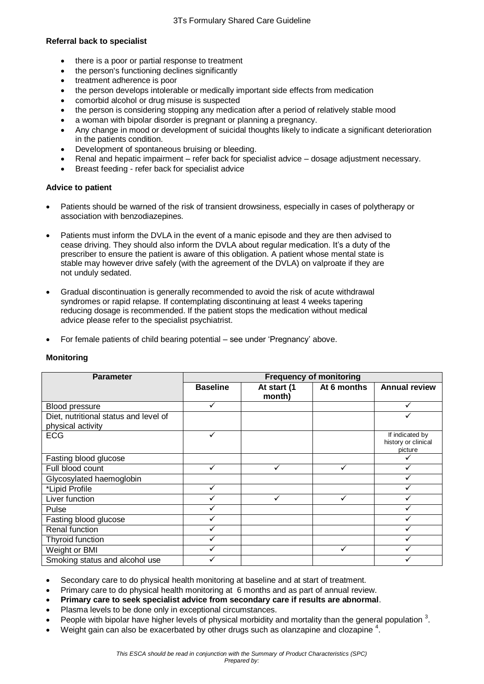#### **Referral back to specialist**

- there is a poor or partial response to treatment
- the person's functioning declines significantly
- treatment adherence is poor
- the person develops intolerable or medically important side effects from medication
- comorbid alcohol or drug misuse is suspected
- the person is considering stopping any medication after a period of relatively stable mood
- a woman with bipolar disorder is pregnant or planning a pregnancy.
- Any change in mood or development of suicidal thoughts likely to indicate a significant deterioration in the patients condition.
- Development of spontaneous bruising or bleeding.
- Renal and hepatic impairment refer back for specialist advice dosage adjustment necessary.
- Breast feeding refer back for specialist advice

# **Advice to patient**

- Patients should be warned of the risk of transient drowsiness, especially in cases of polytherapy or association with benzodiazepines.
- Patients must inform the DVLA in the event of a manic episode and they are then advised to cease driving. They should also inform the DVLA about regular medication. It's a duty of the prescriber to ensure the patient is aware of this obligation. A patient whose mental state is stable may however drive safely (with the agreement of the DVLA) on valproate if they are not unduly sedated.
- Gradual discontinuation is generally recommended to avoid the risk of acute withdrawal syndromes or rapid relapse. If contemplating discontinuing at least 4 weeks tapering reducing dosage is recommended. If the patient stops the medication without medical advice please refer to the specialist psychiatrist.
- For female patients of child bearing potential see under 'Pregnancy' above.

| <b>Parameter</b>                      | <b>Frequency of monitoring</b> |                       |              |                                                   |  |
|---------------------------------------|--------------------------------|-----------------------|--------------|---------------------------------------------------|--|
|                                       | <b>Baseline</b>                | At start (1<br>month) | At 6 months  | <b>Annual review</b>                              |  |
| Blood pressure                        |                                |                       |              |                                                   |  |
| Diet, nutritional status and level of |                                |                       |              |                                                   |  |
| physical activity                     |                                |                       |              |                                                   |  |
| <b>ECG</b>                            | ✓                              |                       |              | If indicated by<br>history or clinical<br>picture |  |
| Fasting blood glucose                 |                                |                       |              |                                                   |  |
| Full blood count                      | ✓                              | ✓                     | ✓            |                                                   |  |
| Glycosylated haemoglobin              |                                |                       |              |                                                   |  |
| *Lipid Profile                        | ✓                              |                       |              |                                                   |  |
| Liver function                        |                                |                       | $\checkmark$ |                                                   |  |
| Pulse                                 |                                |                       |              |                                                   |  |
| Fasting blood glucose                 |                                |                       |              |                                                   |  |
| Renal function                        |                                |                       |              |                                                   |  |
| Thyroid function                      |                                |                       |              |                                                   |  |
| Weight or BMI                         |                                |                       |              |                                                   |  |
| Smoking status and alcohol use        |                                |                       |              |                                                   |  |

# **Monitoring**

Secondary care to do physical health monitoring at baseline and at start of treatment.

Primary care to do physical health monitoring at 6 months and as part of annual review.

- **Primary care to seek specialist advice from secondary care if results are abnormal**.
- Plasma levels to be done only in exceptional circumstances.
- People with bipolar have higher levels of physical morbidity and mortality than the general population  $3$ .
- $\bullet$  Weight gain can also be exacerbated by other drugs such as olanzapine and clozapine  $^4$ .